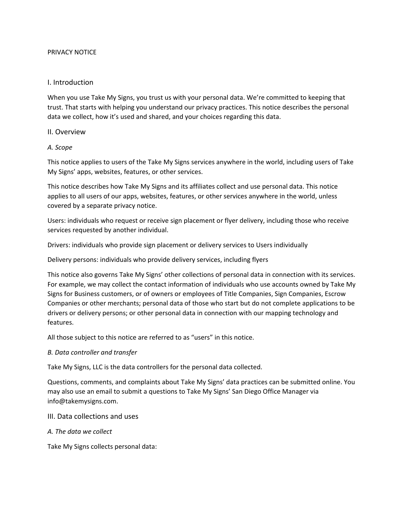## PRIVACY NOTICE

## I. Introduction

When you use Take My Signs, you trust us with your personal data. We're committed to keeping that trust. That starts with helping you understand our privacy practices. This notice describes the personal data we collect, how it's used and shared, and your choices regarding this data.

## II. Overview

## *A. Scope*

This notice applies to users of the Take My Signs services anywhere in the world, including users of Take My Signs' apps, websites, features, or other services.

This notice describes how Take My Signs and its affiliates collect and use personal data. This notice applies to all users of our apps, websites, features, or other services anywhere in the world, unless covered by a separate privacy notice.

Users: individuals who request or receive sign placement or flyer delivery, including those who receive services requested by another individual.

Drivers: individuals who provide sign placement or delivery services to Users individually

Delivery persons: individuals who provide delivery services, including flyers

This notice also governs Take My Signs' other collections of personal data in connection with its services. For example, we may collect the contact information of individuals who use accounts owned by Take My Signs for Business customers, or of owners or employees of Title Companies, Sign Companies, Escrow Companies or other merchants; personal data of those who start but do not complete applications to be drivers or delivery persons; or other personal data in connection with our mapping technology and features.

All those subject to this notice are referred to as "users" in this notice.

#### *B. Data controller and transfer*

Take My Signs, LLC is the data controllers for the personal data collected.

Questions, comments, and complaints about Take My Signs' data practices can be submitted online. You may also use an email to submit a questions to Take My Signs' San Diego Office Manager via info@takemysigns.com.

- III. Data collections and uses
- *A. The data we collect*

Take My Signs collects personal data: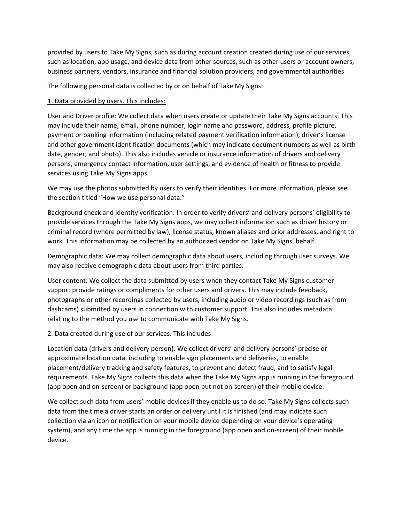provided by users to Take My Signs, such as during account creation created during use of our services, such as location, app usage, and device data from other sources, such as other users or account owners, business partners, vendors, insurance and financial solution providers, and governmental authorities

The following personal data is collected by or on behalf of Take My Signs:

# 1. Data provided by users. This includes:

User and Driver profile: We collect data when users create or update their Take My Signs accounts. This may include their name, email, phone number, login name and password, address, profile picture, payment or banking information (including related payment verification information), driver's license and other government identification documents (which may indicate document numbers as well as birth date, gender, and photo). This also includes vehicle or insurance information of drivers and delivery persons, emergency contact information, user settings, and evidence of health or fitness to provide services using Take My Signs apps.

We may use the photos submitted by users to verify their identities. For more information, please see the section titled "How we use personal data."

Background check and identity verification: In order to verify drivers' and delivery persons' eligibility to provide services through the Take My Signs apps, we may collect information such as driver history or criminal record (where permitted by law), license status, known aliases and prior addresses, and right to work. This information may be collected by an authorized vendor on Take My Signs' behalf.

Demographic data: We may collect demographic data about users, including through user surveys. We may also receive demographic data about users from third parties.

User content: We collect the data submitted by users when they contact Take My Signs customer support provide ratings or compliments for other users and drivers. This may include feedback, photographs or other recordings collected by users, including audio or video recordings (such as from dashcams) submitted by users in connection with customer support. This also includes metadata relating to the method you use to communicate with Take My Signs.

2. Data created during use of our services. This includes:

Location data (drivers and delivery person): We collect drivers' and delivery persons' precise or approximate location data, including to enable sign placements and deliveries, to enable placement/delivery tracking and safety features, to prevent and detect fraud, and to satisfy legal requirements. Take My Signs collects this data when the Take My Signs app is running in the foreground (app open and on-screen) or background (app open but not on-screen) of their mobile device.

We collect such data from users' mobile devices if they enable us to do so. Take My Signs collects such data from the time a driver starts an order or delivery until it is finished (and may indicate such collection via an icon or notification on your mobile device depending on your device's operating system), and any time the app is running in the foreground (app open and on-screen) of their mobile device.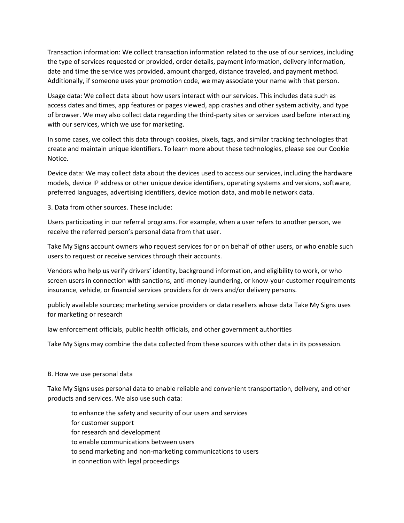Transaction information: We collect transaction information related to the use of our services, including the type of services requested or provided, order details, payment information, delivery information, date and time the service was provided, amount charged, distance traveled, and payment method. Additionally, if someone uses your promotion code, we may associate your name with that person.

Usage data: We collect data about how users interact with our services. This includes data such as access dates and times, app features or pages viewed, app crashes and other system activity, and type of browser. We may also collect data regarding the third-party sites or services used before interacting with our services, which we use for marketing.

In some cases, we collect this data through cookies, pixels, tags, and similar tracking technologies that create and maintain unique identifiers. To learn more about these technologies, please see our Cookie Notice.

Device data: We may collect data about the devices used to access our services, including the hardware models, device IP address or other unique device identifiers, operating systems and versions, software, preferred languages, advertising identifiers, device motion data, and mobile network data.

3. Data from other sources. These include:

Users participating in our referral programs. For example, when a user refers to another person, we receive the referred person's personal data from that user.

Take My Signs account owners who request services for or on behalf of other users, or who enable such users to request or receive services through their accounts.

Vendors who help us verify drivers' identity, background information, and eligibility to work, or who screen users in connection with sanctions, anti-money laundering, or know-your-customer requirements insurance, vehicle, or financial services providers for drivers and/or delivery persons.

publicly available sources; marketing service providers or data resellers whose data Take My Signs uses for marketing or research

law enforcement officials, public health officials, and other government authorities

Take My Signs may combine the data collected from these sources with other data in its possession.

#### B. How we use personal data

Take My Signs uses personal data to enable reliable and convenient transportation, delivery, and other products and services. We also use such data:

to enhance the safety and security of our users and services for customer support for research and development to enable communications between users to send marketing and non-marketing communications to users in connection with legal proceedings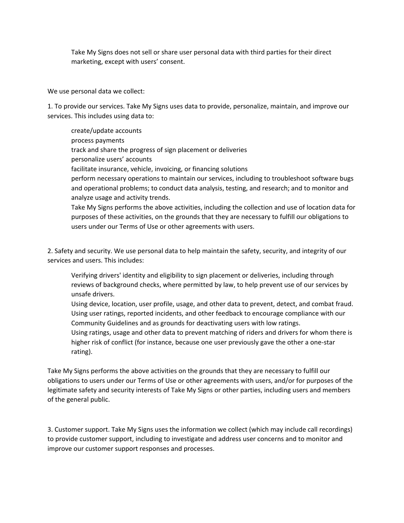Take My Signs does not sell or share user personal data with third parties for their direct marketing, except with users' consent.

We use personal data we collect:

1. To provide our services. Take My Signs uses data to provide, personalize, maintain, and improve our services. This includes using data to:

create/update accounts process payments track and share the progress of sign placement or deliveries personalize users' accounts facilitate insurance, vehicle, invoicing, or financing solutions perform necessary operations to maintain our services, including to troubleshoot software bugs and operational problems; to conduct data analysis, testing, and research; and to monitor and analyze usage and activity trends. Take My Signs performs the above activities, including the collection and use of location data for purposes of these activities, on the grounds that they are necessary to fulfill our obligations to users under our Terms of Use or other agreements with users.

2. Safety and security. We use personal data to help maintain the safety, security, and integrity of our services and users. This includes:

Verifying drivers' identity and eligibility to sign placement or deliveries, including through reviews of background checks, where permitted by law, to help prevent use of our services by unsafe drivers.

Using device, location, user profile, usage, and other data to prevent, detect, and combat fraud. Using user ratings, reported incidents, and other feedback to encourage compliance with our Community Guidelines and as grounds for deactivating users with low ratings.

Using ratings, usage and other data to prevent matching of riders and drivers for whom there is higher risk of conflict (for instance, because one user previously gave the other a one-star rating).

Take My Signs performs the above activities on the grounds that they are necessary to fulfill our obligations to users under our Terms of Use or other agreements with users, and/or for purposes of the legitimate safety and security interests of Take My Signs or other parties, including users and members of the general public.

3. Customer support. Take My Signs uses the information we collect (which may include call recordings) to provide customer support, including to investigate and address user concerns and to monitor and improve our customer support responses and processes.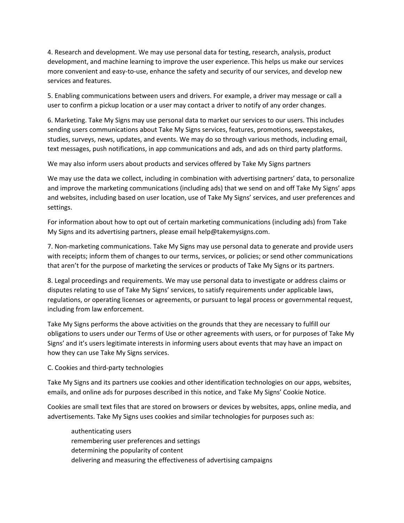4. Research and development. We may use personal data for testing, research, analysis, product development, and machine learning to improve the user experience. This helps us make our services more convenient and easy-to-use, enhance the safety and security of our services, and develop new services and features.

5. Enabling communications between users and drivers. For example, a driver may message or call a user to confirm a pickup location or a user may contact a driver to notify of any order changes.

6. Marketing. Take My Signs may use personal data to market our services to our users. This includes sending users communications about Take My Signs services, features, promotions, sweepstakes, studies, surveys, news, updates, and events. We may do so through various methods, including email, text messages, push notifications, in app communications and ads, and ads on third party platforms.

We may also inform users about products and services offered by Take My Signs partners

We may use the data we collect, including in combination with advertising partners' data, to personalize and improve the marketing communications (including ads) that we send on and off Take My Signs' apps and websites, including based on user location, use of Take My Signs' services, and user preferences and settings.

For information about how to opt out of certain marketing communications (including ads) from Take My Signs and its advertising partners, please email help@takemysigns.com.

7. Non-marketing communications. Take My Signs may use personal data to generate and provide users with receipts; inform them of changes to our terms, services, or policies; or send other communications that aren't for the purpose of marketing the services or products of Take My Signs or its partners.

8. Legal proceedings and requirements. We may use personal data to investigate or address claims or disputes relating to use of Take My Signs' services, to satisfy requirements under applicable laws, regulations, or operating licenses or agreements, or pursuant to legal process or governmental request, including from law enforcement.

Take My Signs performs the above activities on the grounds that they are necessary to fulfill our obligations to users under our Terms of Use or other agreements with users, or for purposes of Take My Signs' and it's users legitimate interests in informing users about events that may have an impact on how they can use Take My Signs services.

C. Cookies and third-party technologies

Take My Signs and its partners use cookies and other identification technologies on our apps, websites, emails, and online ads for purposes described in this notice, and Take My Signs' Cookie Notice.

Cookies are small text files that are stored on browsers or devices by websites, apps, online media, and advertisements. Take My Signs uses cookies and similar technologies for purposes such as:

authenticating users remembering user preferences and settings determining the popularity of content delivering and measuring the effectiveness of advertising campaigns